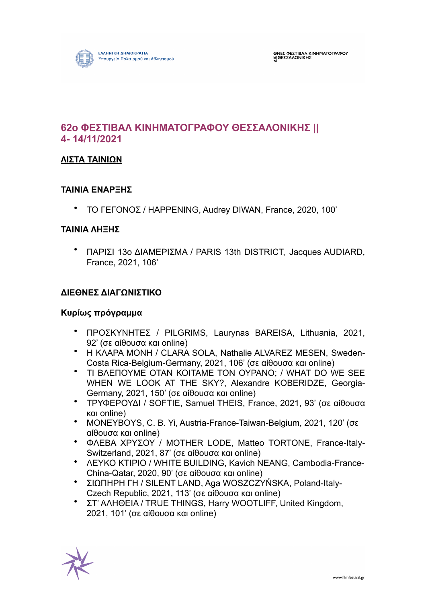

# **62ο ΦΕΣΤΙΒΑΛ ΚΙΝΗΜΑΤΟΓΡΑΦΟΥ ΘΕΣΣΑΛΟΝΙΚΗΣ || 4- 14/11/2021**

### **ΛΙΣΤΑ ΤΑΙΝΙΩΝ**

#### **ΤΑΙΝΙΑ ΕΝΑΡΞΗΣ**

• ΤΟ ΓΕΓΟΝΟΣ / HAPPENING, Audrey DIWAN, France, 2020, 100'

#### **ΤΑΙΝΙΑ ΛΗΞΗΣ**

• ΠΑΡΙΣΙ 13ο ΔΙΑΜΕΡΙΣΜΑ / PARIS 13th DISTRICT, Jacques AUDIARD, France, 2021, 106'

### **ΔΙΕΘΝΕΣ ΔΙΑΓΩΝΙΣΤΙΚΟ**

#### **Κυρίως πρόγραµµα**

- ΠΡΟΣΚΥΝΗΤΕΣ / PILGRIMS, Laurynas BAREISA, Lithuania, 2021, 92' (σε αίθουσα και online)
- Η ΚΛΑΡΑ ΜΟΝΗ / CLARA SOLA, Nathalie ALVAREZ MESEN, Sweden-Costa Rica-Belgium-Germany, 2021, 106' (σε αίθουσα και online)
- ΤΙ ΒΛΕΠΟΥΜΕ ΟΤΑΝ ΚΟΙΤΑΜΕ ΤΟΝ ΟΥΡΑΝΟ; / WHAT DO WE SEE WHEN WE LOOK AT THE SKY?, Alexandre KOBERIDZE, Georgia-Germany, 2021, 150' (σε αίθουσα και online)
- ΤΡΥΦΕΡΟΥΔΙ / SOFTIE, Samuel THEIS, France, 2021, 93' (σε αίθουσα και online)
- MONEYBOYS, C. B. Yi, Austria-France-Taiwan-Belgium, 2021, 120' (σε αίθουσα και online)
- ΦΛΕΒΑ ΧΡΥΣΟΥ / MOTHER LODE, Matteo TORTONE, France-Italy-Switzerland, 2021, 87' (σε αίθουσα και online)
- ΛΕΥΚΟ ΚΤΙΡΙΟ / WHITE BUILDING, Kavich NEANG, Cambodia-France-China-Qatar, 2020, 90' (σε αίθουσα και online)
- ΣΙΩΠΗΡΗ ΓΗ / SILENT LAND, Aga WOSZCZYŃSKA, Poland-Italy-Czech Republic, 2021, 113' (σε αίθουσα και online)
- ΣΤ' ΑΛΗΘΕΙΑ / TRUE THINGS, Harry WOOTLIFF, United Kingdom, 2021, 101' (σε αίθουσα και online)

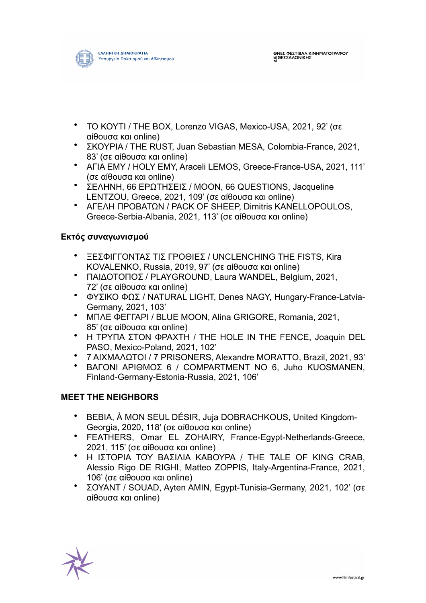

- ΤΟ ΚΟΥΤΙ / ΤΗΕ ΒΟΧ, Lorenzo VIGAS, Mexico-USA, 2021, 92' (σε αίθουσα και online)
- ΣΚΟΥΡΙΑ / THE RUST, Juan Sebastian MESA, Colombia-France, 2021, 83' (σε αίθουσα και online)
- ΑΓΙΑ ΕΜΥ / HOLY EMY, Araceli LEMOS, Greece-France-USA, 2021, 111' (σε αίθουσα και online)
- ΣΕΛΗΝΗ, 66 ΕΡΩΤΗΣΕΙΣ / MOON, 66 QUESTIONS, Jacqueline LENTZOU, Greece, 2021, 109' (σε αίθουσα και online)
- ΑΓΕΛΗ ΠΡΟΒΑΤΩΝ / PACK OF SHEEP, Dimitris KANELLOPOULOS, Greece-Serbia-Albania, 2021, 113' (σε αίθουσα και online)

## **Εκτός συναγωνισµού**

- ΞΕΣΦΙΓΓΟΝΤΑΣ ΤΙΣ ΓΡΟΘΙΕΣ / UNCLENCHING THE FISTS, Kira KOVALENKO, Russia, 2019, 97' (σε αίθουσα και online)
- ΠΑΙΔΟΤΟΠΟΣ / PLAYGROUND, Laura WANDEL, Belgium, 2021, 72' (σε αίθουσα και online)
- ΦΥΣΙΚΟ ΦΩΣ / NATURAL LIGHT, Denes NAGY, Hungary-France-Latvia-Germany, 2021, 103'
- ΜΠΛΕ ΦΕΓΓΑΡΙ / BLUE MOON, Alina GRIGORE, Romania, 2021, 85' (σε αίθουσα και online)
- Η ΤΡΥΠΑ ΣΤΟΝ ΦΡΑΧΤΗ / THE HOLE IN THE FENCE, Joaquin DEL PASO, Mexico-Poland, 2021, 102'
- 7 ΑΙΧΜΑΛΩΤΟΙ / 7 PRISONERS, Alexandre MORATTO, Brazil, 2021, 93'
- ΒΑΓΟΝΙ ΑΡΙΘΜΟΣ 6 / COMPARTMENT NO 6, Juho KUOSMANEN, Finland-Germany-Estonia-Russia, 2021, 106'

#### **MEET THE NEIGHBORS**

- BEBIA, À MON SEUL DÉSIR, Juja DOBRACHKOUS, United Kingdom-Georgia, 2020, 118' (σε αίθουσα και online)
- FEATHERS, Omar EL ZOHAIRY, France-Egypt-Netherlands-Greece, 2021, 115' (σε αίθουσα και online)
- Η ΙΣΤΟΡΙΑ ΤΟΥ ΒΑΣΙΛΙΑ ΚΑΒΟΥΡΑ / THE TALE OF KING CRAB, Alessio Rigo DE RIGHI, Matteo ZOPPIS, Italy-Argentina-France, 2021, 106' (σε αίθουσα και online)
- ΣΟΥΑΝΤ / SOUAD, Ayten AMIN, Egypt-Tunisia-Germany, 2021, 102' (σε αίθουσα και online)

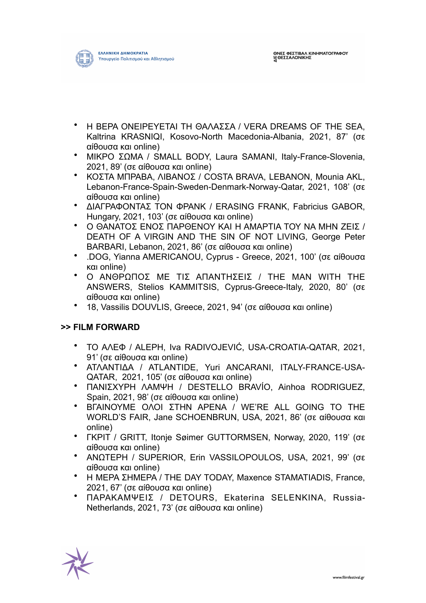

- Η ΒΕΡΑ ΟΝΕΙΡΕΥΕΤΑΙ ΤΗ ΘΑΛΑΣΣΑ / VERA DREAMS OF THE SEA, Kaltrina KRASNIQI, Kosovo-North Macedonia-Albania, 2021, 87' (σε αίθουσα και online)
- ΜΙΚΡΟ ΣΩΜΑ / SMALL BODY, Laura SAMANI, Italy-France-Slovenia, 2021, 89' (σε αίθουσα και online)
- ΚΟΣΤΑ ΜΠΡΑΒΑ, ΛΙΒΑΝΟΣ / COSTA BRAVA, LEBANON, Mounia AKL, Lebanon-France-Spain-Sweden-Denmark-Norway-Qatar, 2021, 108' (σε αίθουσα και online)
- ΔΙΑΓΡΑΦΟΝΤΑΣ ΤΟΝ ΦΡΑΝΚ / ERASING FRANK, Fabricius GABOR, Hungary, 2021, 103' (σε αίθουσα και online)
- Ο ΘΑΝΑΤΟΣ ΕΝΟΣ ΠΑΡΘΕΝΟΥ ΚΑΙ Η ΑΜΑΡΤΙΑ ΤΟΥ ΝΑ ΜΗΝ ΖΕΙΣ / DEATH OF A VIRGIN AND THE SIN OF NOT LIVING, George Peter BARBARI, Lebanon, 2021, 86' (σε αίθουσα και online)
- .DOG, Yianna AMERICANOU, Cyprus Greece, 2021, 100' (σε αίθουσα και online)
- O ΑΝΘΡΩΠΟΣ ΜΕ ΤΙΣ ΑΠΑΝΤΗΣΕΙΣ / THE MAN WITH THE ANSWERS, Stelios KAMMITSIS, Cyprus-Greece-Italy, 2020, 80' (σε αίθουσα και online)
- 18, Vassilis DOUVLIS, Greece, 2021, 94' (σε αίθουσα και online)

## **>> FILM FORWARD**

- ΤΟ ΑΛΕΦ / ALEPH, Iva RADIVOJEVIĆ, USA-CROATIA-QATAR, 2021, 91' (σε αίθουσα και online)
- ΑΤΛΑΝΤΙΔΑ / ATLANTIDE, Yuri ANCARANI, ITALY-FRANCE-USA-QATAR, 2021, 105' (σε αίθουσα και online)
- ΠΑΝΙΣΧΥΡΗ ΛΑΜΨΗ / DESTELLO BRAVÍO, Ainhoa RODRIGUEZ, Spain, 2021, 98' (σε αίθουσα και online)
- ΒΓΑΙΝΟΥΜΕ ΟΛΟΙ ΣΤΗΝ ΑΡΕΝΑ / WE'RE ALL GOING TO THE WORLD'S FAIR, Jane SCHOENBRUN, USA, 2021, 86' (σε αίθουσα και online)
- ΓΚΡΙΤ / GRITT, Itonje Søimer GUTTORMSEN, Norway, 2020, 119' (σε αίθουσα και online)
- ΑΝΩΤΕΡΗ / SUPERIOR, Erin VASSILOPOULOS, USA, 2021, 99' (σε αίθουσα και online)
- Η ΜΕΡΑ ΣΗΜΕΡΑ / THE DAY TODAY, Maxence STAMATIADIS, France, 2021, 67' (σε αίθουσα και online)
- ΠΑΡΑΚΑΜΨΕΙΣ / DETOURS, Ekaterina SELENKINA, Russia-Netherlands, 2021, 73' (σε αίθουσα και online)

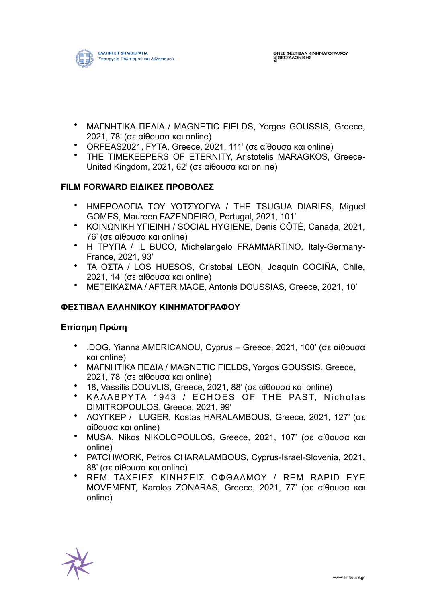

- ΜΑΓΝΗΤΙΚΑ ΠΕΔΙΑ / MAGNETIC FIELDS, Yorgos GOUSSIS, Greece, 2021, 78' (σε αίθουσα και online)
- ORFEAS2021, FYTA, Greece, 2021, 111' (σε αίθουσα και online)
- THE TIMEKEEPERS OF ETERNITY, Aristotelis MARAGKOS, Greece-United Kingdom, 2021, 62' (σε αίθουσα και online)

### **FILM FORWARD ΕΙΔΙΚΕΣ ΠΡΟΒΟΛΕΣ**

- ΗΜΕΡΟΛΟΓΙΑ ΤΟΥ ΥΟΤΣΥΟΓΥΑ / THE TSUGUA DIARIES, Miguel GOMES, Maureen FAZENDEIRO, Portugal, 2021, 101'
- ΚΟΙΝΩΝΙΚΗ ΥΓΙΕΙΝΗ / SOCIAL HYGIENE, Denis CÔTÉ, Canada, 2021, 76' (σε αίθουσα και online)
- Η ΤΡΥΠΑ / IL BUCO, Michelangelo FRAMMARTINO, Italy-Germany-France, 2021, 93'
- ΤΑ ΟΣΤΑ / LOS HUESOS, Cristobal LEON, Joaquín COCIÑA, Chile, 2021, 14' (σε αίθουσα και online)
- ΜΕΤΕΙΚΑΣΜΑ / AFTERIMAGE, Antonis DOUSSIAS, Greece, 2021, 10'

#### **ΦΕΣΤΙΒΑΛ ΕΛΛΗΝΙΚΟΥ ΚΙΝΗΜΑΤΟΓΡΑΦΟΥ**

#### **Επίσηµη Πρώτη**

- .DOG, Yianna AMERICANOU, Cyprus Greece, 2021, 100' (σε αίθουσα και online)
- ΜΑΓΝΗΤΙΚΑ ΠΕΔΙΑ / MAGNETIC FIELDS, Yorgos GOUSSIS, Greece, 2021, 78' (σε αίθουσα και online)
- 18, Vassilis DOUVLIS, Greece, 2021, 88' (σε αίθουσα και online)
- ΚΑΛΑΒΡΥΤΑ 1943 / ECHOES OF THE PAST, Nicholas DIMITROPOULOS, Greece, 2021, 99'
- ΛΟΥΓΚΕΡ / LUGER, Kostas HARALAMBOUS, Greece, 2021, 127' (σε αίθουσα και online)
- MUSA, Nikos NIKOLOPOULOS, Greece, 2021, 107' (σε αίθουσα και online)
- PATCHWORK, Petros CHARALAMBOUS, Cyprus-Israel-Slovenia, 2021, 88' (σε αίθουσα και online)
- REM ΤΑΧΕΙΕΣ ΚΙΝΗΣΕΙΣ ΟΦΘΑΛΜΟΥ / REM RAPID EYE MOVEMENT, Karolos ZONARAS, Greece, 2021, 77' (σε αίθουσα και online)

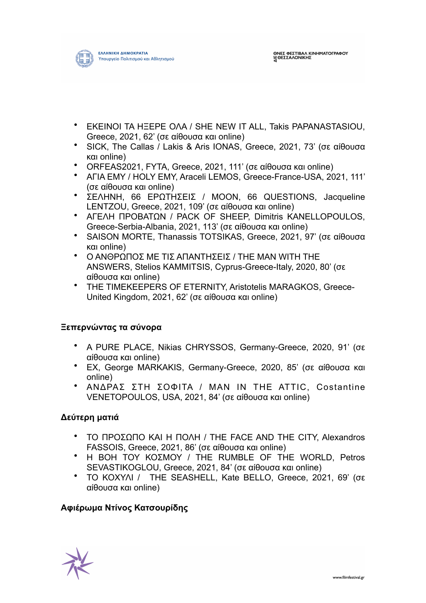

- ΕΚΕΙΝΟΙ ΤΑ ΗΞΕΡΕ ΟΛΑ / SHE NEW IT ALL, Takis PAPANASTASIOU, Greece, 2021, 62' (σε αίθουσα και online)
- SICK, The Callas / Lakis & Aris IONAS, Greece, 2021, 73' (σε αίθουσα και online)
- ORFEAS2021, FYTA, Greece, 2021, 111' (σε αίθουσα και online)
- ΑΓΙΑ ΕΜΥ / HOLY EMY, Araceli LEMOS, Greece-France-USA, 2021, 111' (σε αίθουσα και online)
- ΣΕΛΗΝΗ, 66 ΕΡΩΤΗΣΕΙΣ / MOON, 66 QUESTIONS, Jacqueline LENTZOU, Greece, 2021, 109' (σε αίθουσα και online)
- ΑΓΕΛΗ ΠΡΟΒΑΤΩΝ / PACK OF SHEEP, Dimitris KANELLOPOULOS, Greece-Serbia-Albania, 2021, 113' (σε αίθουσα και online)
- SAISON MORTE, Thanassis TOTSIKAS, Greece, 2021, 97' (σε αίθουσα και online)
- O ΑΝΘΡΩΠΟΣ ΜΕ ΤΙΣ ΑΠΑΝΤΗΣΕΙΣ / THE MAN WITH THE ANSWERS, Stelios KAMMITSIS, Cyprus-Greece-Italy, 2020, 80' (σε αίθουσα και online)
- THE TIMEKEEPERS OF ETERNITY, Aristotelis MARAGKOS, Greece-United Kingdom, 2021, 62' (σε αίθουσα και online)

## **Ξεπερνώντας τα σύνορα**

- A PURE PLACE, Nikias CHRYSSOS, Germany-Greece, 2020, 91' (σε αίθουσα και online)
- EX, George MARKAKIS, Germany-Greece, 2020, 85' (σε αίθουσα και online)
- ΑΝΔΡΑΣ ΣΤΗ ΣΟΦΙΤΑ / MAN IN THE ATTIC, Costantine VENETOPOULOS, USA, 2021, 84' (σε αίθουσα και online)

## **Δεύτερη µατιά**

- ΤΟ ΠΡΟΣΩΠΟ ΚΑΙ Η ΠΟΛΗ / THE FACE AND THE CITY, Alexandros FASSOIS, Greece, 2021, 86' (σε αίθουσα και online)
- Η ΒΟΗ ΤΟΥ ΚΟΣΜΟΥ / THE RUMBLE OF THE WORLD, Petros SEVASTIKOGLOU, Greece, 2021, 84' (σε αίθουσα και online)
- ΤΟ ΚΟΧΥΛΙ / THE SEASHELL, Kate BELLO, Greece, 2021, 69' (σε αίθουσα και online)

## **Αφιέρωµα Ντίνος Κατσουρίδης**

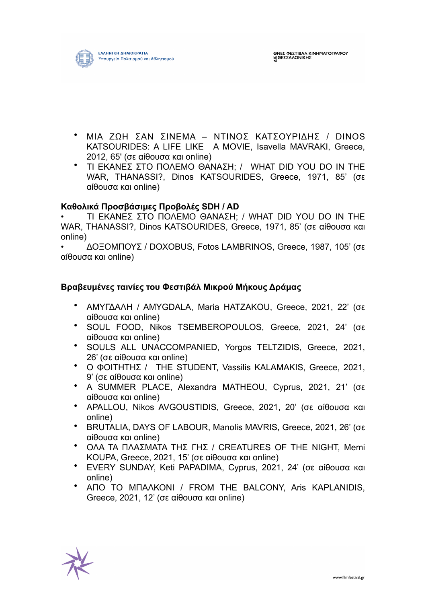

- ΜΙΑ ΖΩΗ ΣΑΝ ΣΙΝΕΜΑ ΝΤΙΝΟΣ ΚΑΤΣΟΥΡΙΔΗΣ / DINOS KATSOURIDES: A LIFE LIKE A MOVIE, Isavella MAVRAKI, Greece, 2012, 65' (σε αίθουσα και online)
- ΤΙ ΕΚΑΝΕΣ ΣΤΟ ΠΟΛΕΜΟ ΘΑΝΑΣΗ; / WHAT DID YOU DO IN THE WAR, THANASSI?, Dinos KATSOURIDES, Greece, 1971, 85' (σε αίθουσα και online)

#### **Καθολικά Προσβάσιµες Προβολές SDH / AD**

• ΤΙ ΕΚΑΝΕΣ ΣΤΟ ΠΟΛΕΜΟ ΘΑΝΑΣΗ; / WHAT DID YOU DO IN THE WAR, THANASSI?, Dinos KATSOURIDES, Greece, 1971, 85' (σε αίθουσα και online)

• ΔΟΞΟΜΠΟΥΣ / DOXOBUS, Fotos LAMBRINOS, Greece, 1987, 105' (σε αίθουσα και online)

### **Βραβευµένες ταινίες του Φεστιβάλ Μικρού Μήκους Δράµας**

- ΑΜΥΓΔΑΛΗ / AMYGDALA, Maria HATZAKOU, Greece, 2021, 22' (σε αίθουσα και online)
- SOUL FOOD, Nikos TSEMBEROPOULOS, Greece, 2021, 24' (σε αίθουσα και online)
- SOULS ALL UNACCOMPANIED, Yorgos TELTZIDIS, Greece, 2021, 26' (σε αίθουσα και online)
- Ο ΦΟΙΤΗΤΗΣ / THE STUDENT, Vassilis KALAMAKIS, Greece, 2021, 9' (σε αίθουσα και online)
- A SUMMER PLACE, Alexandra MATHEOU, Cyprus, 2021, 21' (σε αίθουσα και online)
- APALLOU, Nikos AVGOUSTIDIS, Greece, 2021, 20' (σε αίθουσα και online)
- BRUTALIA, DAYS OF LABOUR, Manolis MAVRIS, Greece, 2021, 26' (σε αίθουσα και online)
- ΟΛΑ ΤΑ ΠΛΑΣΜΑΤΑ ΤΗΣ ΓΗΣ / CREATURES OF THE NIGHT, Memi KOUPA, Greece, 2021, 15' (σε αίθουσα και online)
- EVERY SUNDAY, Keti PAPADIMA, Cyprus, 2021, 24' (σε αίθουσα και online)
- ΑΠΟ ΤΟ ΜΠΑΛΚΟΝΙ / FROM THE BALCONY, Aris KAPLANIDIS, Greece, 2021, 12' (σε αίθουσα και online)

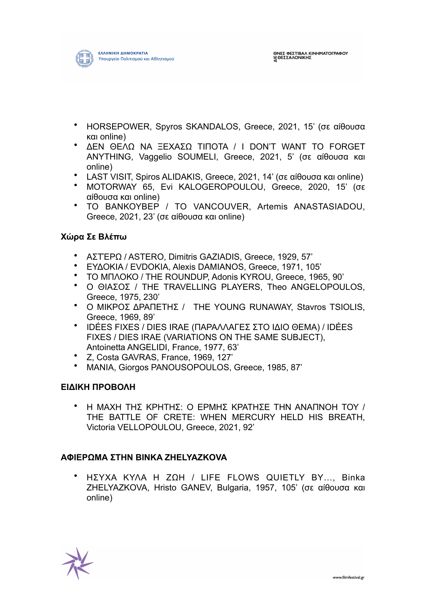- HORSEPOWER, Spyros SKANDALOS, Greece, 2021, 15' (σε αίθουσα και online)
- ΔΕΝ ΘΕΛΩ ΝΑ ΞΕΧΑΣΩ ΤΙΠΟΤΑ / I DON'T WANT TO FORGET ANYTHING, Vaggelio SOUMELI, Greece, 2021, 5' (σε αίθουσα και online)
- LAST VISIT, Spiros ALIDAKIS, Greece, 2021, 14' (σε αίθουσα και online)
- MOTORWAY 65, Evi KALOGEROPOULOU, Greece, 2020, 15' (σε αίθουσα και online)
- ΤΟ ΒΑΝΚΟΥΒΕΡ / TO VANCOUVER, Artemis ANASTASIADOU, Greece, 2021, 23' (σε αίθουσα και online)

## **Χώρα Σε Βλέπω**

- ΑΣΤΈΡΩ / ASTERO, Dimitris GAZIADIS, Greece, 1929, 57'
- ΕΥΔΟΚΙΑ / EVDOKIA, Alexis DAMIANOS, Greece, 1971, 105'
- ΤΟ ΜΠΛΟΚΟ / THE ROUNDUP, Adonis KYROU, Greece, 1965, 90'
- Ο ΘΙΑΣΟΣ / THE TRAVELLING PLAYERS, Theo ANGELOPOULOS, Greece, 1975, 230'
- Ο ΜΙΚΡΟΣ ΔΡΑΠΕΤΗΣ / THE YOUNG RUNAWAY, Stavros TSIOLIS, Greece, 1969, 89'
- IDÉES FIXES / DIES IRAE (ΠΑΡΑΛΛΑΓΕΣ ΣΤΟ ΙΔΙΟ ΘΕΜΑ) / IDÉES FIXES / DIES IRAE (VARIATIONS ON THE SAME SUBJECT), Antoinetta ANGELIDI, France, 1977, 63'
- Z, Costa GAVRAS, France, 1969, 127'
- ΜΑΝΙΑ, Giorgos PANOUSOPOULOS, Greece, 1985, 87'

## **ΕΙΔΙΚΗ ΠΡΟΒΟΛΗ**

• Η ΜΑΧΗ ΤΗΣ ΚΡΗΤΗΣ: Ο ΕΡΜΗΣ ΚΡΑΤΗΣΕ ΤΗΝ ΑΝΑΠΝΟΗ ΤΟΥ / THE BATTLE OF CRETE: WHEN MERCURY HELD HIS BREATH, Victoria VELLOPOULOU, Greece, 2021, 92'

## **ΑΦΙΕΡΩΜΑ ΣΤΗΝ BINKA ZHELYAZKOVA**

• ΗΣΥΧΑ ΚΥΛΑ Η ΖΩΗ / LIFE FLOWS QUIETLY BY…, Binka ZHELYAZKOVA, Hristo GANEV, Bulgaria, 1957, 105' (σε αίθουσα και online)

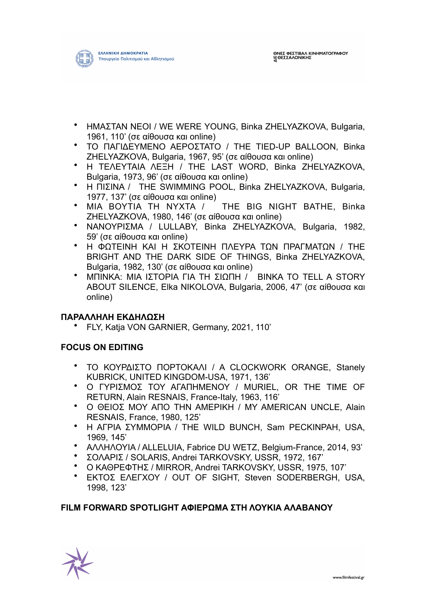

- ΗΜΑΣΤΑΝ ΝΕΟΙ / WE WERE YOUNG, Binka ZHELYAZKOVA, Bulgaria, 1961, 110' (σε αίθουσα και online)
- ΤΟ ΠΑΓΙΔΕΥΜΕΝΟ ΑΕΡΟΣΤΑΤΟ / THE TIED-UP BALLOON, Binka ZHELYAZKOVA, Bulgaria, 1967, 95' (σε αίθουσα και online)
- Η ΤΕΛΕΥΤΑΙΑ ΛΕΞΗ / THE LAST WORD, Binka ZHELYAZKOVA, Bulgaria, 1973, 96' (σε αίθουσα και online)
- Η ΠΙΣΙΝΑ / THE SWIMMING POOL, Binka ZHELYAZKOVA, Bulgaria, 1977, 137' (σε αίθουσα και online)
- ΜΙΑ ΒΟΥΤΙΑ ΤΗ ΝΥΧΤΑ / THE BIG NIGHT BATHE, Binka ZHELYAZKOVA, 1980, 146' (σε αίθουσα και online)
- ΝΑΝΟΥΡΙΣΜΑ / LULLABY, Binka ZHELYAZKOVA, Bulgaria, 1982, 59' (σε αίθουσα και online)
- Η ΦΩΤΕΙΝΗ ΚΑΙ Η ΣΚΟΤΕΙΝΗ ΠΛΕΥΡΑ ΤΩΝ ΠΡΑΓΜΑΤΩΝ / THE BRIGHT AND THE DARK SIDE OF THINGS, Binka ZHELYAZKOVA, Bulgaria, 1982, 130' (σε αίθουσα και online)
- ΜΠΙΝΚΑ: ΜΙΑ ΙΣΤΟΡΙΑ ΓΙΑ ΤΗ ΣΙΩΠΗ / BINKA TO TELL A STORY ABOUT SILENCE, Elka NIKOLOVA, Bulgaria, 2006, 47' (σε αίθουσα και online)

## **ΠΑΡΑΛΛΗΛΗ ΕΚΔΗΛΩΣΗ**

• FLY, Katja VON GARNIER, Germany, 2021, 110'

## **FOCUS ON EDITING**

- ΤΟ ΚΟΥΡΔΙΣΤΟ ΠΟΡΤΟΚΑΛΙ / A CLOCKWORK ORANGE, Stanely KUBRICK, UNITED KINGDOM-USA, 1971, 136'
- Ο ΓΥΡΙΣΜΟΣ ΤΟΥ ΑΓΑΠΗΜΕΝΟΥ / MURIEL, OR THE TIME OF RETURN, Alain RESNAIS, France-Italy, 1963, 116'
- Ο ΘΕΙΟΣ ΜΟΥ ΑΠΟ ΤΗΝ ΑΜΕΡΙΚΗ / MY AMERICAN UNCLE, Alain RESNAIS, France, 1980, 125'
- Η ΑΓΡΙΑ ΣΥΜΜΟΡΙΑ / THE WILD BUNCH, Sam PECKINPAH, USA, 1969, 145'
- ΑΛΛΗΛΟΥΙΑ / ALLELUIA, Fabrice DU WETZ, Belgium-France, 2014, 93'
- ΣΟΛΑΡΙΣ / SOLARIS, Andrei TARKOVSKY, USSR, 1972, 167'
- Ο ΚΑΘΡΕΦΤΗΣ / MIRROR, Andrei TARKOVSKY, USSR, 1975, 107'
- ΕΚΤΟΣ ΕΛΕΓΧΟΥ / OUT OF SIGHT, Steven SODERBERGH, USA, 1998, 123'

## **FILM FORWARD SPOTLIGHT ΑΦΙΕΡΩΜΑ ΣΤΗ ΛΟΥΚΙΑ ΑΛΑΒΑΝΟΥ**

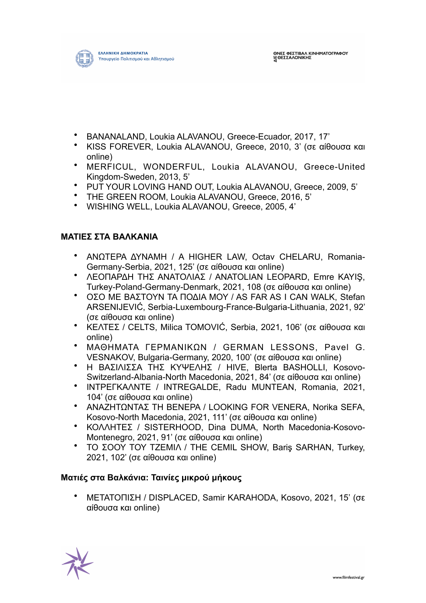

- BANANALAND, Loukia ALAVANOU, Greece-Ecuador, 2017, 17'
- KISS FOREVER, Loukia ALAVANOU, Greece, 2010, 3' (σε αίθουσα και online)
- MERFICUL, WONDERFUL, Loukia ALAVANOU, Greece-United Kingdom-Sweden, 2013, 5'
- PUT YOUR LOVING HAND OUT, Loukia ALAVANOU, Greece, 2009, 5'
- THE GREEN ROOM, Loukia ALAVANOU, Greece, 2016, 5'
- WISHING WELL, Loukia ALAVANOU, Greece, 2005, 4'

#### **ΜΑΤΙΕΣ ΣΤΑ ΒΑΛΚΑΝΙΑ**

- ΑΝΩΤΕΡΑ ΔΥΝΑΜΗ / A HIGHER LAW, Octav CHELARU, Romania-Germany-Serbia, 2021, 125' (σε αίθουσα και online)
- ΛΕΟΠΑΡΔΗ ΤΗΣ ΑΝΑΤΟΛΙΑΣ / ANATOLIAN LEOPARD, Emre KAYIŞ, Turkey-Poland-Germany-Denmark, 2021, 108 (σε αίθουσα και online)
- ΟΣΟ ΜΕ ΒΑΣΤΟΥΝ ΤΑ ΠΟΔΙΑ ΜΟΥ / AS FAR AS I CAN WALK, Stefan ARSENIJEVIĆ, Serbia-Luxembourg-France-Bulgaria-Lithuania, 2021, 92' (σε αίθουσα και online)
- ΚΕΛΤΕΣ / CELTS, Milica TOMOVIĆ, Serbia, 2021, 106' (σε αίθουσα και online)
- ΜΑΘΗΜΑΤΑ ΓΕΡΜΑΝΙΚΩΝ / GERMAN LESSONS, Pavel G. VESNAKOV, Bulgaria-Germany, 2020, 100' (σε αίθουσα και online)
- Η ΒΑΣΙΛΙΣΣΑ ΤΗΣ ΚΥΨΕΛΗΣ / HIVE, Blerta BASHOLLI, Kosovo-Switzerland-Albania-North Macedonia, 2021, 84' (σε αίθουσα και online)
- ΙΝΤΡΕΓΚΑΛΝΤΕ / INTREGALDE, Radu MUNTEAN, Romania, 2021, 104' (σε αίθουσα και online)
- ΑΝΑΖΗΤΩΝΤΑΣ ΤΗ ΒΕΝΕΡΑ / LOOKING FOR VENERA, Norika SEFA, Kosovo-North Macedonia, 2021, 111' (σε αίθουσα και online)
- ΚΟΛΛΗΤΕΣ / SISTERHOOD, Dina DUMA, North Macedonia-Kosovo-Montenegro, 2021, 91' (σε αίθουσα και online)
- ΤΟ ΣΟΟΥ ΤΟΥ ΤΖΕΜΙΛ / THE CEMIL SHOW, Bariş SARHAN, Turkey, 2021, 102' (σε αίθουσα και online)

#### **Ματιές στα Βαλκάνια: Ταινίες µικρού µήκους**

• ΜΕΤΑΤΟΠΙΣΗ / DISPLACED, Samir KARAHODA, Kosovo, 2021, 15' (σε αίθουσα και online)

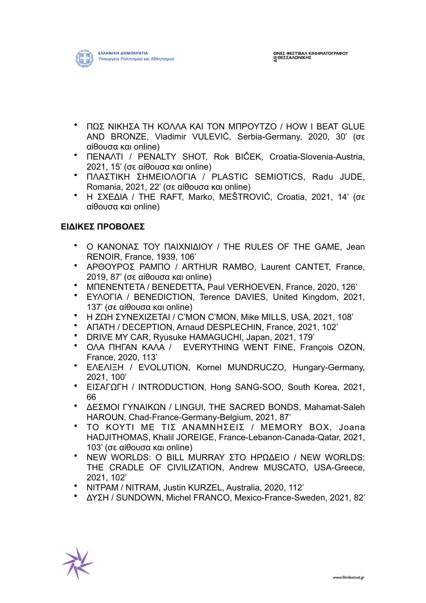

- ΠΩΣ ΝΙΚΗΣΑ ΤΗ ΚΟΛΛΑ ΚΑΙ ΤΟΝ ΜΠΡΟΥΤΖΟ / HOW I BEAT GLUE AND BRONZE, Vladimir VULEVIĆ, Serbia-Germany, 2020, 30' (σε αίθουσα και online)
- ΠΕΝΑΛΤΙ / PENALTY SHOT, Rok BIČEK, Croatia-Slovenia-Austria, 2021, 15' (σε αίθουσα και online)
- ΠΛΑΣΤΙΚΗ ΣΗΜΕΙΟΛΟΓΙΑ / PLASTIC SEMIOTICS, Radu JUDE, Romania, 2021, 22' (σε αίθουσα και online)
- Η ΣΧΕΔΙΑ / THE RAFT, Marko, MEŠTROVIĆ, Croatia, 2021, 14' (σε αίθουσα και online)

# **ΕΙΔΙΚΕΣ ΠΡΟΒΟΛΕΣ**

- Ο ΚΑΝΟΝΑΣ ΤΟΥ ΠΑΙΧΝΙΔΙΟΥ / THE RULES OF THE GAME, Jean RENOIR, France, 1939, 106'
- ΑΡΘΟΥΡΟΣ ΡΑΜΠΟ / ARTHUR RAMBO, Laurent CANTET, France, 2019, 87' (σε αίθουσα και online)
- ΜΠΕΝΕΝΤΕΤΑ / BENEDETTA, Paul VERHOEVEN, France, 2020, 126'
- ΕΥΛΟΓΙΑ / BENEDICTION, Terence DAVIES, United Kingdom, 2021, 137' (σε αίθουσα και online)
- Η ΖΩΗ ΣΥΝΕΧΙΖΕΤΑΙ / C'MON C'MON, Mike MILLS, USA, 2021, 108'
- ΑΠΑΤΗ / DECEPTION, Arnaud DESPLECHIN, France, 2021, 102'
- DRIVE MY CAR, Ryusuke HAMAGUCHI, Japan, 2021, 179'
- ΟΛΑ ΠΗΓΑΝ ΚΑΛΑ / EVERYTHING WENT FINE, François OZON, France, 2020, 113'
- ΕΛΕΛΙΞΗ / EVOLUTION, Kornel MUNDRUCZO, Hungary-Germany, 2021, 100'
- ΕΙΣΑΓΩΓΗ / INTRODUCTION, Hong SANG-SOO, South Korea, 2021, 66
- ΔΕΣΜΟΙ ΓΥΝΑΙΚΩΝ / LINGUI, THE SACRED BONDS, Mahamat-Saleh HAROUN, Chad-France-Germany-Belgium, 2021, 87'
- ΤΟ ΚΟΥΤΙ ΜΕ ΤΙΣ ΑΝΑΜΝΗΣΕΙΣ / MEMORY ΒΟΧ, Joana HADJITHOMAS, Khalil JOREIGE, France-Lebanon-Canada-Qatar, 2021, 103' (σε αίθουσα και online)
- NEW WORLDS: O BILL MURRAY ΣΤΟ ΗΡΩΔΕΙΟ / NEW WORLDS: THE CRADLE OF CIVILIZATION, Andrew MUSCATO, USA-Greece, 2021, 102'
- ΝΙΤΡΑΜ / NITRAM, Justin KURZEL, Australia, 2020, 112'
- ΔΥΣΗ / SUNDOWN, Michel FRANCO, Mexico-France-Sweden, 2021, 82'

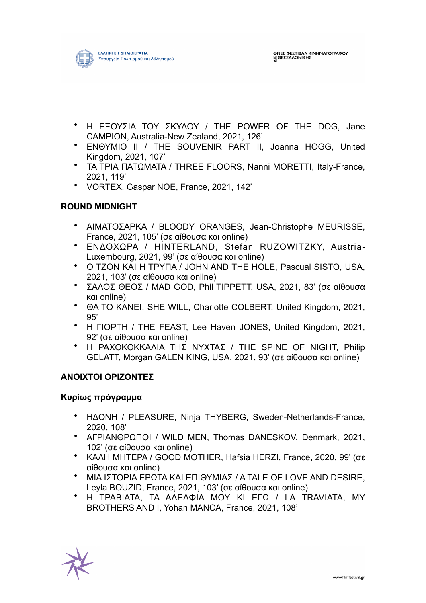

- Η ΕΞΟΥΣΙΑ ΤΟΥ ΣΚΥΛΟΥ / THE POWER OF THE DOG, Jane CAMPION, Australia-New Zealand, 2021, 126'
- ΕΝΘΥΜΙΟ ΙΙ / THE SOUVENIR PART II, Joanna HOGG, United Kingdom, 2021, 107'
- ΤΑ ΤΡΙΑ ΠΑΤΩΜΑΤΑ / THREE FLOORS, Nanni MORETTI, Italy-France, 2021, 119'
- VORTEX, Gaspar NOE, France, 2021, 142'

## **ROUND MIDNIGHT**

- ΑΙΜΑΤΟΣΑΡΚΑ / BLOODY ORANGES, Jean-Christophe MEURISSE, France, 2021, 105' (σε αίθουσα και online)
- ΕΝΔΟΧΩΡΑ / HINTERLAND, Stefan RUZOWITZKY, Austria-Luxembourg, 2021, 99' (σε αίθουσα και online)
- Ο ΤΖΟΝ ΚΑΙ Η ΤΡΥΠΑ / JOHN AND THE HOLE, Pascual SISTO, USA, 2021, 103' (σε αίθουσα και online)
- ΣΑΛΟΣ ΘΕΟΣ / MAD GOD, Phil TIPPETT, USA, 2021, 83' (σε αίθουσα και online)
- ΘΑ ΤΟ ΚΑΝΕΙ, SHE WILL, Charlotte COLBERT, United Kingdom, 2021, 95'
- Η ΓΙΟΡΤΗ / THE FEAST, Lee Haven JONES, United Kingdom, 2021, 92' (σε αίθουσα και online)
- Η ΡΑΧΟΚΟΚΚΑΛΙΑ ΤΗΣ ΝΥΧΤΑΣ / THE SPINE OF NIGHT, Philip GELATT, Morgan GALEN KING, USA, 2021, 93' (σε αίθουσα και online)

#### **ΑΝΟΙΧΤΟΙ ΟΡΙΖΟΝΤΕΣ**

#### **Κυρίως πρόγραµµα**

- ΗΔΟΝΗ / PLEASURE, Ninja THYBERG, Sweden-Netherlands-France, 2020, 108'
- ΑΓΡΙΑΝΘΡΩΠΟΙ / WILD MEN, Thomas DANESKOV, Denmark, 2021, 102' (σε αίθουσα και online)
- ΚΑΛΗ ΜΗΤΕΡΑ / GOOD MOTHER, Hafsia HERZI, France, 2020, 99' (σε αίθουσα και online)
- ΜΙΑ ΙΣΤΟΡΙΑ ΕΡΩΤΑ ΚΑΙ ΕΠΙΘΥΜΙΑΣ / A TALE OF LOVE AND DESIRE, Leyla BOUZID, France, 2021, 103' (σε αίθουσα και online)
- Η ΤΡΑΒΙΑΤΑ, ΤΑ ΑΔΕΛΦΙΑ ΜΟΥ ΚΙ ΕΓΩ / LA TRAVIATA, MY BROTHERS AND I, Yohan MANCA, France, 2021, 108'

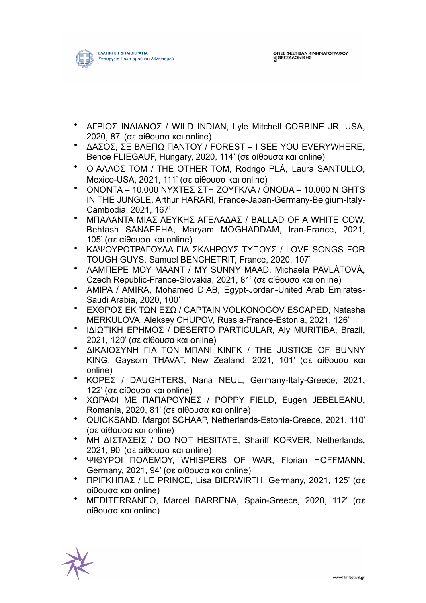

- ΑΓΡΙΟΣ ΙΝΔΙΑΝΟΣ / WILD INDIAN, Lyle Mitchell CORBINE JR, USA, 2020, 87' (σε αίθουσα και online)
- ΔΑΣΟΣ, ΣΕ ΒΛΕΠΩ ΠΑΝΤΟΥ / FOREST I SEE YOU EVERYWHERE, Bence FLIEGAUF, Hungary, 2020, 114' (σε αίθουσα και online)
- Ο ΑΛΛΟΣ ΤΟΜ / THE OTHER TOM, Rodrigo PLÁ, Laura SANTULLO, Mexico-USA, 2021, 111' (σε αίθουσα και online)
- ΟΝΟΝΤΑ 10.000 ΝΥΧΤΕΣ ΣΤΗ ΖΟΥΓΚΛΑ / ONODA 10.000 NIGHTS IN THE JUNGLE, Arthur HARARI, France-Japan-Germany-Belgium-Italy-Cambodia, 2021, 167'
- ΜΠΑΛΑΝΤΑ ΜΙΑΣ ΛΕΥΚΗΣ ΑΓΕΛΑΔΑΣ / BALLAD OF A WHITE COW, Behtash SANAEEHA, Maryam MOGHADDAM, Iran-France, 2021, 105' (σε αίθουσα και online)
- ΚΑΨΟΥΡΟΤΡΑΓΟΥΔΑ ΓΙΑ ΣΚΛΗΡΟΥΣ ΤΥΠΟΥΣ / LOVE SONGS FOR TOUGH GUYS, Samuel BENCHETRIT, France, 2020, 107'
- ΛΑΜΠΕΡΕ ΜΟΥ ΜΑΑΝΤ / MY SUNNY MAAD, Michaela PAVLÁTOVÁ, Czech Republic-France-Slovakia, 2021, 81' (σε αίθουσα και online)
- ΑΜΙΡΑ / AMIRA, Mohamed DIAB, Egypt-Jordan-United Arab Emirates-Saudi Arabia, 2020, 100'
- ΕΧΘΡΟΣ ΕΚ ΤΩΝ ΕΣΩ / CAPTAIN VOLKONOGOV ESCAPED, Natasha MERKULOVA, Aleksey CHUPOV, Russia-France-Estonia, 2021, 126'
- ΙΔΙΩΤΙΚΗ ΕΡΗΜΟΣ / DESERTO PARTICULAR, Aly MURITIBA, Brazil, 2021, 120' (σε αίθουσα και online)
- ΔΙΚΑΙΟΣΥΝΗ ΓΙΑ ΤΟΝ ΜΠΑΝΙ ΚΙΝΓΚ / THE JUSTICE OF BUNNY KING, Gaysorn THAVAT, New Zealand, 2021, 101' (σε αίθουσα και online)
- ΚΟΡΕΣ / DAUGHTERS, Nana NEUL, Germany-Italy-Greece, 2021, 122' (σε αίθουσα και online)
- ΧΩΡΑΦΙ ΜΕ ΠΑΠΑΡΟΥΝΕΣ / POPPY FIELD, Eugen JEBELEANU, Romania, 2020, 81' (σε αίθουσα και online)
- QUICKSAND, Margot SCHAAP, Netherlands-Estonia-Greece, 2021, 110' (σε αίθουσα και online)
- ΜΗ ΔΙΣΤΑΣΕΙΣ / DO NOT HESITATE, Shariff KORVER, Netherlands, 2021, 90' (σε αίθουσα και online)
- ΨΙΘΥΡΟΙ ΠΟΛΕΜΟΥ, WHISPERS OF WAR, Florian HOFFMANN, Germany, 2021, 94' (σε αίθουσα και online)
- ΠΡΙΓΚΗΠΑΣ / LE PRINCE, Lisa BIERWIRTH, Germany, 2021, 125' (σε αίθουσα και online)
- MEDITERRANEO, Marcel BARRENA, Spain-Greece, 2020, 112' (σε αίθουσα και online)

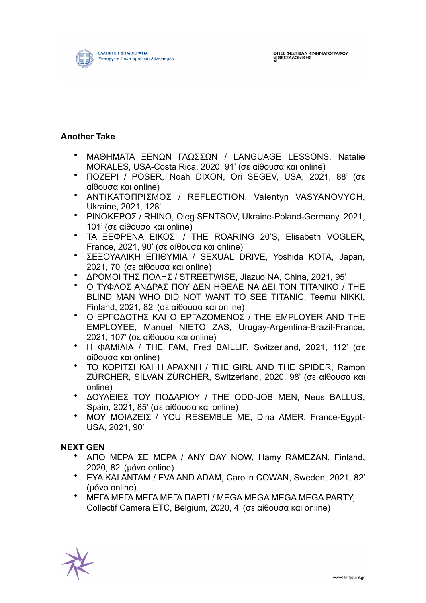

### **Another Take**

- ΜΑΘΗΜΑΤΑ ΞΕΝΩΝ ΓΛΩΣΣΩΝ / LANGUAGE LESSONS, Natalie MORALES, USA-Costa Rica, 2020, 91' (σε αίθουσα και online)
- ΠΟΖΕΡΙ / POSER, Noah DIXON, Ori SEGEV, USA, 2021, 88' (σε αίθουσα και online)
- ΑΝΤΙΚΑΤΟΠΡΙΣΜΟΣ / REFLECTION, Valentyn VASYANOVYCH, Ukraine, 2021, 128'
- ΡΙΝΟΚΕΡOΣ / RHINO, Oleg SENTSOV, Ukraine-Poland-Germany, 2021, 101' (σε αίθουσα και online)
- ΤΑ ΞΕΦΡΕΝΑ ΕΙΚΟΣΙ / THE ROARING 20'S, Elisabeth VOGLER, France, 2021, 90' (σε αίθουσα και online)
- ΣΕΞΟΥΑΛΙΚΗ ΕΠΙΘΥΜΙΑ / SEXUAL DRIVE, Yoshida KOTA, Japan, 2021, 70' (σε αίθουσα και online)
- ΔΡΟΜΟΙ ΤΗΣ ΠΟΛΗΣ / STREETWISE, Jiazuo NA, China, 2021, 95'
- Ο ΤΥΦΛΟΣ ΑΝΔΡΑΣ ΠΟΥ ΔΕΝ ΗΘΕΛΕ ΝΑ ΔΕΙ ΤΟΝ ΤΙΤΑΝΙΚΟ / THE BLIND MAN WHO DID NOT WANT TO SEE TITANIC, Teemu NIKKI, Finland, 2021, 82' (σε αίθουσα και online)
- Ο ΕΡΓΟΔΟΤΗΣ ΚΑΙ Ο ΕΡΓΑΖΟΜΕΝΟΣ / THE EMPLOYER AND THE EMPLOYEE, Manuel NIETO ZAS, Urugay-Argentina-Brazil-France, 2021, 107' (σε αίθουσα και online)
- Η ΦΑΜΙΛΙΑ / THE FAM, Fred BAILLIF, Switzerland, 2021, 112' (σε αίθουσα και online)
- ΤΟ ΚΟΡΙΤΣΙ ΚΑΙ Η ΑΡΑΧΝΗ / THE GIRL AND THE SPIDER, Ramon ZÜRCHER, SILVAN ZÜRCHER, Switzerland, 2020, 98' (σε αίθουσα και online)
- ΔΟΥΛΕΙΕΣ ΤΟΥ ΠΟΔΑΡΙΟΥ / THE ODD-JOB MEN, Neus BALLUS, Spain, 2021, 85' (σε αίθουσα και online)
- ΜΟΥ ΜΟΙΑΖΕΙΣ / YOU RESEMBLE ME, Dina AMER, France-Egypt-USA, 2021, 90'

## **NEXT GEN**

- ΑΠΟ ΜΕΡΑ ΣΕ ΜΕΡΑ / ANY DAY NOW, Hamy RAMEZAN, Finland, 2020, 82' (µόνο online)
- ΕΥΑ ΚΑΙ ΑΝΤΑΜ / EVA AND ADAM, Carolin COWAN, Sweden, 2021, 82' (µόνο online)
- ΜΕΓΑ ΜΕΓΑ ΜΕΓΑ ΜΕΓΑ ΠΑΡΤΙ / MEGA MEGA MEGA MEGA PARTY, Collectif Camera ETC, Belgium, 2020, 4' (σε αίθουσα και online)